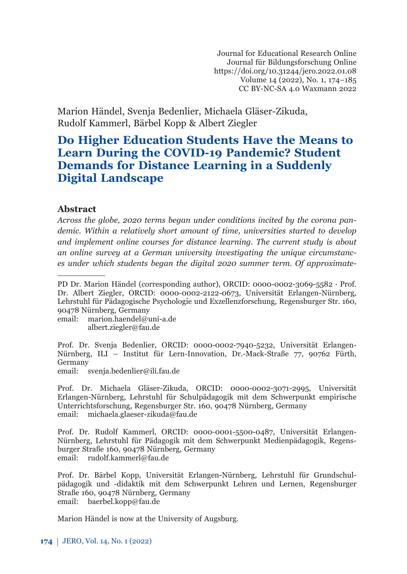Journal for Educational Research Online Journal für Bildungsforschung Online https://doi.org/10.31244/jero.2022.01.08 Volume 14 (2022), No. 1, 174–185 CC BY-NC-SA 4.0 Waxmann 2022

Marion Händel, Svenja Bedenlier, Michaela Gläser-Zikuda, Rudolf Kammerl, Bärbel Kopp & Albert Ziegler

# **Do Higher Education Students Have the Means to Learn During the COVID-19 Pandemic? Student Demands for Distance Learning in a Suddenly Digital Landscape**

### **Abstract***<sup>1</sup>*

*Across the globe, 2020 terms began under conditions incited by the corona pandemic. Within a relatively short amount of time, universities started to develop and implement online courses for distance learning. The current study is about an online survey at a German university investigating the unique circumstances under which students began the digital 2020 summer term. Of approximate-*

email: marion.haendel@uni-a.de albert.ziegler@fau.de

Prof. Dr. Svenja Bedenlier, ORCID: 0000-0002-7940-5232, Universität Erlangen-Nürnberg, ILI – Institut für Lern-Innovation, Dr.-Mack-Straße 77, 90762 Fürth, Germany

email: svenja.bedenlier@ili.fau.de

Prof. Dr. Michaela Gläser-Zikuda, ORCID: 0000-0002-3071-2995, Universität Erlangen-Nürnberg, Lehrstuhl für Schulpädagogik mit dem Schwerpunkt empirische Unterrichtsforschung, Regensburger Str. 160, 90478 Nürnberg, Germany email: michaela.glaeser-zikuda@fau.de

Prof. Dr. Rudolf Kammerl, ORCID: 0000-0001-5500-0487, Universität Erlangen-Nürnberg, Lehrstuhl für Pädagogik mit dem Schwerpunkt Medienpädagogik, Regensburger Straße 160, 90478 Nürnberg, Germany email: rudolf.kammerl@fau.de

Prof. Dr. Bärbel Kopp, Universität Erlangen-Nürnberg, Lehrstuhl für Grundschulpädagogik und -didaktik mit dem Schwerpunkt Lehren und Lernen, Regensburger Straße 160, 90478 Nürnberg, Germany email: baerbel.kopp@fau.de

Marion Händel is now at the University of Augsburg.

PD Dr. Marion Händel (corresponding author), ORCID: 0000-0002-3069-5582 · Prof. Dr. Albert Ziegler, ORCID: 0000-0002-2122-0673, Universität Erlangen-Nürnberg, Lehrstuhl für Pädagogische Psychologie und Exzellenzforschung, Regensburger Str. 160, 90478 Nürnberg, Germany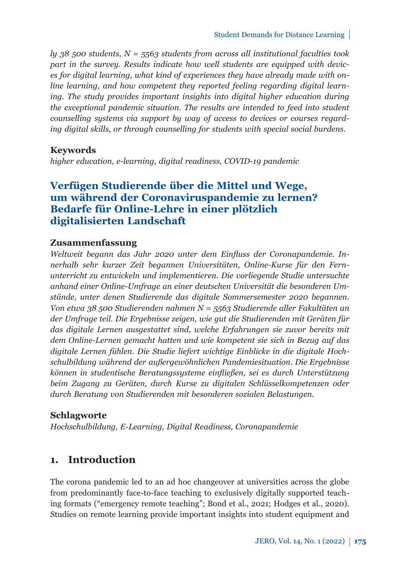*ly 38 500 students, N = 5563 students from across all institutional faculties took part in the survey. Results indicate how well students are equipped with devices for digital learning, what kind of experiences they have already made with online learning, and how competent they reported feeling regarding digital learning. The study provides important insights into digital higher education during the exceptional pandemic situation. The results are intended to feed into student counselling systems via support by way of access to devices or courses regarding digital skills, or through counselling for students with special social burdens.*

### **Keywords**

*higher education, e-learning, digital readiness, COVID-19 pandemic*

## **Verfügen Studierende über die Mittel und Wege, um während der Coronaviruspandemie zu lernen? Bedarfe für Online-Lehre in einer plötzlich digitalisierten Landschaft**

### **Zusammenfassung**

*Weltweit begann das Jahr 2020 unter dem Einfluss der Coronapandemie. Innerhalb sehr kurzer Zeit begannen Universitäten, Online-Kurse für den Fernunterricht zu entwickeln und implementieren. Die vorliegende Studie untersuchte anhand einer Online-Umfrage an einer deutschen Universität die besonderen Umstände, unter denen Studierende das digitale Sommersemester 2020 begannen. Von etwa 38 500 Studierenden nahmen N = 5563 Studierende aller Fakultäten an der Umfrage teil. Die Ergebnisse zeigen, wie gut die Studierenden mit Geräten für das digitale Lernen ausgestattet sind, welche Erfahrungen sie zuvor bereits mit dem Online-Lernen gemacht hatten und wie kompetent sie sich in Bezug auf das digitale Lernen fühlen. Die Studie liefert wichtige Einblicke in die digitale Hochschulbildung während der außergewöhnlichen Pandemiesituation. Die Ergebnisse können in studentische Beratungssysteme einfließen, sei es durch Unterstützung beim Zugang zu Geräten, durch Kurse zu digitalen Schlüsselkompetenzen oder durch Beratung von Studierenden mit besonderen sozialen Belastungen.*

### **Schlagworte**

*Hochschulbildung, E-Learning, Digital Readiness, Coronapandemie*

## **1. Introduction**

The corona pandemic led to an ad hoc changeover at universities across the globe from predominantly face-to-face teaching to exclusively digitally supported teaching formats ("emergency remote teaching"; Bond et al., 2021; Hodges et al., 2020). Studies on remote learning provide important insights into student equipment and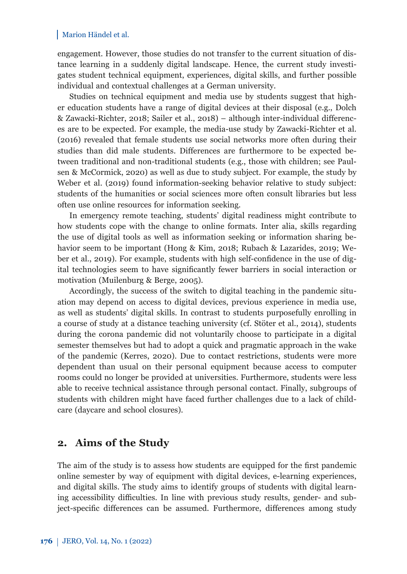engagement. However, those studies do not transfer to the current situation of distance learning in a suddenly digital landscape. Hence, the current study investigates student technical equipment, experiences, digital skills, and further possible individual and contextual challenges at a German university.

Studies on technical equipment and media use by students suggest that higher education students have a range of digital devices at their disposal (e.g., Dolch & Zawacki-Richter, 2018; Sailer et al., 2018) – although inter-individual differences are to be expected. For example, the media-use study by Zawacki-Richter et al. (2016) revealed that female students use social networks more often during their studies than did male students. Differences are furthermore to be expected between traditional and non-traditional students (e.g., those with children; see Paulsen & McCormick, 2020) as well as due to study subject. For example, the study by Weber et al. (2019) found information-seeking behavior relative to study subject: students of the humanities or social sciences more often consult libraries but less often use online resources for information seeking.

In emergency remote teaching, students' digital readiness might contribute to how students cope with the change to online formats. Inter alia, skills regarding the use of digital tools as well as information seeking or information sharing behavior seem to be important (Hong & Kim, 2018; Rubach & Lazarides, 2019; Weber et al., 2019). For example, students with high self-confidence in the use of digital technologies seem to have significantly fewer barriers in social interaction or motivation (Muilenburg & Berge, 2005).

Accordingly, the success of the switch to digital teaching in the pandemic situation may depend on access to digital devices, previous experience in media use, as well as students' digital skills. In contrast to students purposefully enrolling in a course of study at a distance teaching university (cf. Stöter et al., 2014), students during the corona pandemic did not voluntarily choose to participate in a digital semester themselves but had to adopt a quick and pragmatic approach in the wake of the pandemic (Kerres, 2020). Due to contact restrictions, students were more dependent than usual on their personal equipment because access to computer rooms could no longer be provided at universities. Furthermore, students were less able to receive technical assistance through personal contact. Finally, subgroups of students with children might have faced further challenges due to a lack of childcare (daycare and school closures).

## **2. Aims of the Study**

The aim of the study is to assess how students are equipped for the first pandemic online semester by way of equipment with digital devices, e-learning experiences, and digital skills. The study aims to identify groups of students with digital learning accessibility difficulties. In line with previous study results, gender- and subject-specific differences can be assumed. Furthermore, differences among study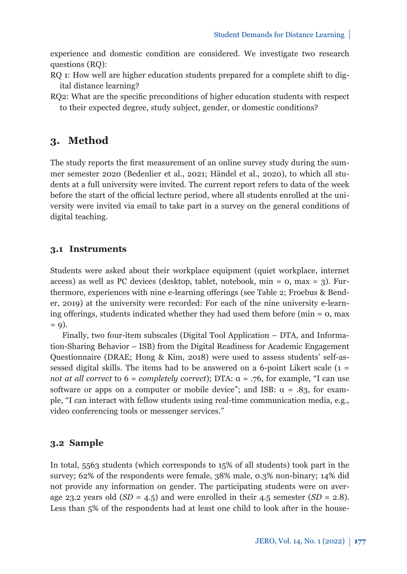experience and domestic condition are considered. We investigate two research questions (RQ):

- RQ 1: How well are higher education students prepared for a complete shift to digital distance learning?
- RQ2: What are the specific preconditions of higher education students with respect to their expected degree, study subject, gender, or domestic conditions?

## **3. Method**

The study reports the first measurement of an online survey study during the summer semester 2020 (Bedenlier et al., 2021; Händel et al., 2020), to which all students at a full university were invited. The current report refers to data of the week before the start of the official lecture period, where all students enrolled at the university were invited via email to take part in a survey on the general conditions of digital teaching.

### **3.1 Instruments**

Students were asked about their workplace equipment (quiet workplace, internet access) as well as PC devices (desktop, tablet, notebook,  $min = 0$ ,  $max = 3$ ). Furthermore, experiences with nine e-learning offerings (see Table 2; Froebus & Bender, 2019) at the university were recorded: For each of the nine university e-learning offerings, students indicated whether they had used them before (min  $= 0$ , max  $= 9$ ).

Finally, two four-item subscales (Digital Tool Application – DTA, and Information-Sharing Behavior – ISB) from the Digital Readiness for Academic Engagement Questionnaire (DRAE; Hong & Kim, 2018) were used to assess students' self-assessed digital skills. The items had to be answered on a 6-point Likert scale  $(1 =$ *not at all correct* to  $6 = \text{completely correct}$ ; DTA:  $\alpha = .76$ , for example, "I can use software or apps on a computer or mobile device"; and ISB:  $\alpha = .83$ , for example, "I can interact with fellow students using real-time communication media, e.g., video conferencing tools or messenger services."

### **3.2 Sample**

In total, 5563 students (which corresponds to 15% of all students) took part in the survey; 62% of the respondents were female, 38% male, 0.3% non-binary; 14% did not provide any information on gender. The participating students were on average 23.2 years old  $(SD = 4.5)$  and were enrolled in their 4.5 semester  $(SD = 2.8)$ . Less than 5% of the respondents had at least one child to look after in the house-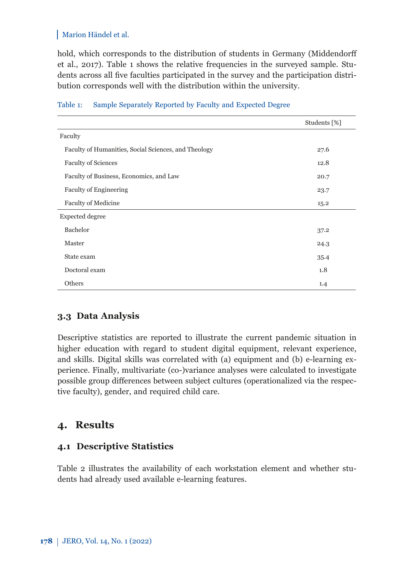hold, which corresponds to the distribution of students in Germany (Middendorff et al., 2017). Table 1 shows the relative frequencies in the surveyed sample. Students across all five faculties participated in the survey and the participation distribution corresponds well with the distribution within the university.

|                                                      | Students [%] |
|------------------------------------------------------|--------------|
| Faculty                                              |              |
| Faculty of Humanities, Social Sciences, and Theology | 27.6         |
| <b>Faculty of Sciences</b>                           | 12.8         |
| Faculty of Business, Economics, and Law              | 20.7         |
| <b>Faculty of Engineering</b>                        | 23.7         |
| <b>Faculty of Medicine</b>                           | 15.2         |
| Expected degree                                      |              |
| Bachelor                                             | 37.2         |
| Master                                               | 24.3         |
| State exam                                           | 35.4         |
| Doctoral exam                                        | 1.8          |
| Others                                               | 1.4          |

### Table 1: Sample Separately Reported by Faculty and Expected Degree

## **3.3 Data Analysis**

Descriptive statistics are reported to illustrate the current pandemic situation in higher education with regard to student digital equipment, relevant experience, and skills. Digital skills was correlated with (a) equipment and (b) e-learning experience. Finally, multivariate (co-)variance analyses were calculated to investigate possible group differences between subject cultures (operationalized via the respective faculty), gender, and required child care.

## **4. Results**

## **4.1 Descriptive Statistics**

Table 2 illustrates the availability of each workstation element and whether students had already used available e-learning features.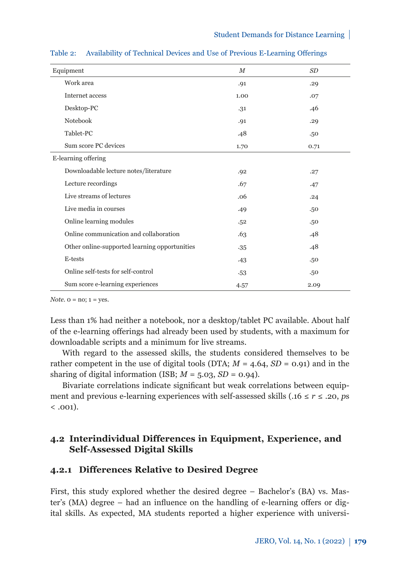| Equipment                                     | $_{M}$ | SD   |  |  |  |
|-----------------------------------------------|--------|------|--|--|--|
| Work area                                     | .91    | .29  |  |  |  |
| Internet access                               | 1.00   | .07  |  |  |  |
| Desktop-PC                                    | .31    | .46  |  |  |  |
| Notebook                                      | .91    | .29  |  |  |  |
| Tablet-PC                                     | .48    | .50  |  |  |  |
| Sum score PC devices                          | 1.70   | 0.71 |  |  |  |
| E-learning offering                           |        |      |  |  |  |
| Downloadable lecture notes/literature         | .92    | .27  |  |  |  |
| Lecture recordings                            | .67    | .47  |  |  |  |
| Live streams of lectures                      | .06    | .24  |  |  |  |
| Live media in courses                         | .49    | .50  |  |  |  |
| Online learning modules                       | .52    | .50  |  |  |  |
| Online communication and collaboration        | .63    | .48  |  |  |  |
| Other online-supported learning opportunities | $-35$  | .48  |  |  |  |
| E-tests                                       | .43    | .50  |  |  |  |
| Online self-tests for self-control            | .53    | .50  |  |  |  |
| Sum score e-learning experiences              | 4.57   | 2.09 |  |  |  |

Table 2: Availability of Technical Devices and Use of Previous E-Learning Offerings

*Note.*  $o = no$ ;  $1 = yes$ .

Less than 1% had neither a notebook, nor a desktop/tablet PC available. About half of the e-learning offerings had already been used by students, with a maximum for downloadable scripts and a minimum for live streams.

With regard to the assessed skills, the students considered themselves to be rather competent in the use of digital tools (DTA;  $M = 4.64$ ,  $SD = 0.91$ ) and in the sharing of digital information (ISB;  $M = 5.03$ ,  $SD = 0.94$ ).

Bivariate correlations indicate significant but weak correlations between equipment and previous e-learning experiences with self-assessed skills (.16  $\leq r \leq .20$ , *ps*  $< .001$ ).

## **4.2 Interindividual Differences in Equipment, Experience, and Self-Assessed Digital Skills**

### **4.2.1 Differences Relative to Desired Degree**

First, this study explored whether the desired degree – Bachelor's (BA) vs. Master's (MA) degree – had an influence on the handling of e-learning offers or digital skills. As expected, MA students reported a higher experience with universi-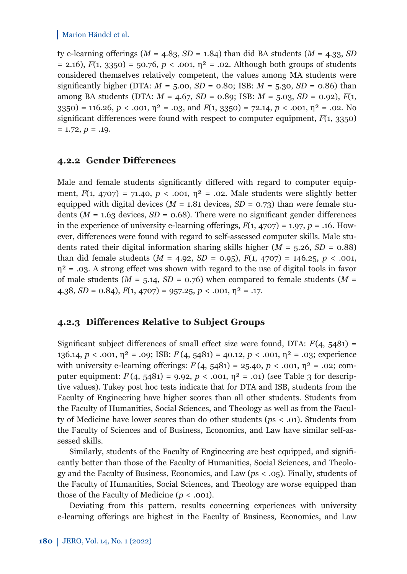ty e-learning offerings  $(M = 4.83, SD = 1.84)$  than did BA students  $(M = 4.33, SD)$  $= 2.16$ ),  $F(1, 3350) = 50.76$ ,  $p < .001$ ,  $n^2 = .02$ . Although both groups of students considered themselves relatively competent, the values among MA students were significantly higher (DTA:  $M = 5.00$ ,  $SD = 0.80$ ; ISB:  $M = 5.30$ ,  $SD = 0.86$ ) than among BA students (DTA: *M* = 4.67, *SD* = 0.89; ISB: *M* = 5.03, *SD* = 0.92), *F*(1, 3350) = 116.26,  $p < .001$ ,  $\eta^2 = .03$ , and  $F(1, 3350) = 72.14$ ,  $p < .001$ ,  $\eta^2 = .02$ . No significant differences were found with respect to computer equipment, *F*(1, 3350)  $= 1.72, p = .19.$ 

### **4.2.2 Gender Differences**

Male and female students significantly differed with regard to computer equipment,  $F(1, 4707) = 71.40$ ,  $p < .001$ ,  $p^2 = .02$ . Male students were slightly better equipped with digital devices ( $M = 1.81$  devices,  $SD = 0.73$ ) than were female students ( $M = 1.63$  devices,  $SD = 0.68$ ). There were no significant gender differences in the experience of university e-learning offerings,  $F(1, 4707) = 1.97$ ,  $p = .16$ . However, differences were found with regard to self-assessed computer skills. Male students rated their digital information sharing skills higher  $(M = 5.26, SD = 0.88)$ than did female students  $(M = 4.92, SD = 0.95)$ ,  $F(1, 4707) = 146.25, p < .001$ ,  $\eta^2$  = .03. A strong effect was shown with regard to the use of digital tools in favor of male students ( $M = 5.14$ ,  $SD = 0.76$ ) when compared to female students ( $M =$ 4.38,  $SD = 0.84$ ),  $F(1, 4707) = 957.25$ ,  $p < .001$ ,  $\eta^2 = .17$ .

### **4.2.3 Differences Relative to Subject Groups**

Significant subject differences of small effect size were found, DTA:  $F(4, 5481) =$ 136.14, *p* < .001, η² = .09; ISB: *F* (4, 5481) = 40.12, *p* < .001, η² = .03; experience with university e-learning offerings:  $F(4, 5481) = 25.40, p < .001, \eta^2 = .02$ ; computer equipment:  $F(4, 5481) = 9.92$ ,  $p < .001$ ,  $n^2 = .01$ ) (see Table 3 for descriptive values). Tukey post hoc tests indicate that for DTA and ISB, students from the Faculty of Engineering have higher scores than all other students. Students from the Faculty of Humanities, Social Sciences, and Theology as well as from the Faculty of Medicine have lower scores than do other students (*p*s < .01). Students from the Faculty of Sciences and of Business, Economics, and Law have similar self-assessed skills.

Similarly, students of the Faculty of Engineering are best equipped, and significantly better than those of the Faculty of Humanities, Social Sciences, and Theology and the Faculty of Business, Economics, and Law (*p*s < .05). Finally, students of the Faculty of Humanities, Social Sciences, and Theology are worse equipped than those of the Faculty of Medicine  $(p < .001)$ .

Deviating from this pattern, results concerning experiences with university e-learning offerings are highest in the Faculty of Business, Economics, and Law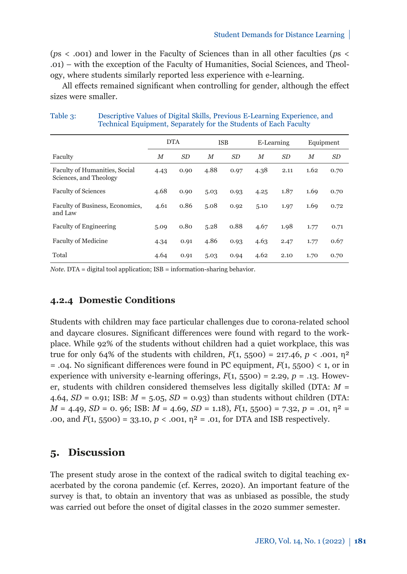(*p*s < .001) and lower in the Faculty of Sciences than in all other faculties (*p*s < .01) – with the exception of the Faculty of Humanities, Social Sciences, and Theology, where students similarly reported less experience with e-learning.

All effects remained significant when controlling for gender, although the effect sizes were smaller.

|                                                         | <b>DTA</b> |      | <b>ISB</b> |                | E-Learning       |                | Equipment |           |
|---------------------------------------------------------|------------|------|------------|----------------|------------------|----------------|-----------|-----------|
| Faculty                                                 | M          | SD   | M          | SD <sub></sub> | $\boldsymbol{M}$ | SD <sub></sub> | $_{M}$    | <i>SD</i> |
| Faculty of Humanities, Social<br>Sciences, and Theology | 4.43       | 0.90 | 4.88       | 0.97           | 4.38             | 2.11           | 1.62      | 0.70      |
| <b>Faculty of Sciences</b>                              | 4.68       | 0.90 | 5.03       | 0.93           | 4.25             | 1.87           | 1.69      | 0.70      |
| Faculty of Business, Economics,<br>and Law              | 4.61       | 0.86 | 5.08       | 0.92           | 5.10             | 1.97           | 1.69      | 0.72      |
| <b>Faculty of Engineering</b>                           | 5.09       | 0.80 | 5.28       | 0.88           | 4.67             | 1.98           | 1.77      | 0.71      |
| <b>Faculty of Medicine</b>                              | 4.34       | 0.91 | 4.86       | 0.93           | 4.63             | 2.47           | 1.77      | 0.67      |
| Total                                                   | 4.64       | 0.91 | 5.03       | 0.94           | 4.62             | 2.10           | 1.70      | 0.70      |

| Table 3: | Descriptive Values of Digital Skills, Previous E-Learning Experience, and |
|----------|---------------------------------------------------------------------------|
|          | Technical Equipment, Separately for the Students of Each Faculty          |

*Note.* DTA = digital tool application; ISB = information-sharing behavior.

## **4.2.4 Domestic Conditions**

Students with children may face particular challenges due to corona-related school and daycare closures. Significant differences were found with regard to the workplace. While 92% of the students without children had a quiet workplace, this was true for only 64% of the students with children,  $F(1, 5500) = 217.46$ ,  $p < .001$ ,  $p<sup>2</sup>$  $=$  .04. No significant differences were found in PC equipment,  $F(1, 5500) < 1$ , or in experience with university e-learning offerings,  $F(1, 5500) = 2.29$ ,  $p = .13$ . However, students with children considered themselves less digitally skilled (DTA: *M* = 4.64, *SD* = 0.91; ISB: *M* = 5.05, *SD* = 0.93) than students without children (DTA:  $M = 4.49$ ,  $SD = 0$ . 96; ISB:  $M = 4.69$ ,  $SD = 1.18$ ),  $F(1, 5500) = 7.32$ ,  $p = .01$ ,  $\eta^2 =$ .00, and  $F(1, 5500) = 33.10, p < .001, \eta^2 = .01$ , for DTA and ISB respectively.

## **5. Discussion**

The present study arose in the context of the radical switch to digital teaching exacerbated by the corona pandemic (cf. Kerres, 2020). An important feature of the survey is that, to obtain an inventory that was as unbiased as possible, the study was carried out before the onset of digital classes in the 2020 summer semester.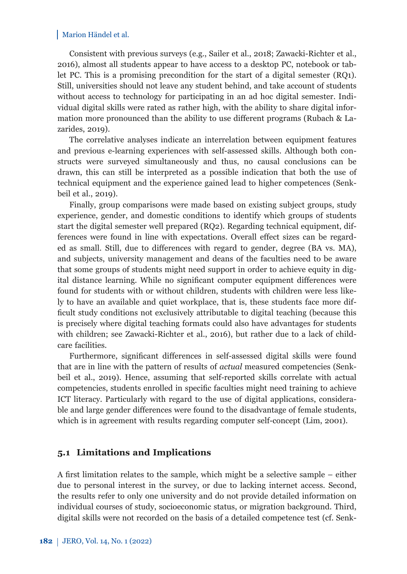Consistent with previous surveys (e.g., Sailer et al., 2018; Zawacki-Richter et al., 2016), almost all students appear to have access to a desktop PC, notebook or tablet PC. This is a promising precondition for the start of a digital semester (RQ1). Still, universities should not leave any student behind, and take account of students without access to technology for participating in an ad hoc digital semester. Individual digital skills were rated as rather high, with the ability to share digital information more pronounced than the ability to use different programs (Rubach & Lazarides, 2019).

The correlative analyses indicate an interrelation between equipment features and previous e-learning experiences with self-assessed skills. Although both constructs were surveyed simultaneously and thus, no causal conclusions can be drawn, this can still be interpreted as a possible indication that both the use of technical equipment and the experience gained lead to higher competences (Senkbeil et al., 2019).

Finally, group comparisons were made based on existing subject groups, study experience, gender, and domestic conditions to identify which groups of students start the digital semester well prepared (RQ2). Regarding technical equipment, differences were found in line with expectations. Overall effect sizes can be regarded as small. Still, due to differences with regard to gender, degree (BA vs. MA), and subjects, university management and deans of the faculties need to be aware that some groups of students might need support in order to achieve equity in digital distance learning. While no significant computer equipment differences were found for students with or without children, students with children were less likely to have an available and quiet workplace, that is, these students face more difficult study conditions not exclusively attributable to digital teaching (because this is precisely where digital teaching formats could also have advantages for students with children; see Zawacki-Richter et al., 2016), but rather due to a lack of childcare facilities.

Furthermore, significant differences in self-assessed digital skills were found that are in line with the pattern of results of *actual* measured competencies (Senkbeil et al., 2019). Hence, assuming that self-reported skills correlate with actual competencies, students enrolled in specific faculties might need training to achieve ICT literacy. Particularly with regard to the use of digital applications, considerable and large gender differences were found to the disadvantage of female students, which is in agreement with results regarding computer self-concept (Lim, 2001).

## **5.1 Limitations and Implications**

A first limitation relates to the sample, which might be a selective sample – either due to personal interest in the survey, or due to lacking internet access. Second, the results refer to only one university and do not provide detailed information on individual courses of study, socioeconomic status, or migration background. Third, digital skills were not recorded on the basis of a detailed competence test (cf. Senk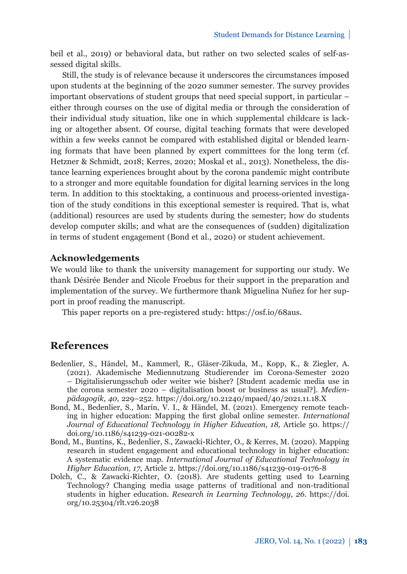beil et al., 2019) or behavioral data, but rather on two selected scales of self-assessed digital skills.

Still, the study is of relevance because it underscores the circumstances imposed upon students at the beginning of the 2020 summer semester. The survey provides important observations of student groups that need special support, in particular – either through courses on the use of digital media or through the consideration of their individual study situation, like one in which supplemental childcare is lacking or altogether absent. Of course, digital teaching formats that were developed within a few weeks cannot be compared with established digital or blended learning formats that have been planned by expert committees for the long term (cf. Hetzner & Schmidt, 2018; Kerres, 2020; Moskal et al., 2013). Nonetheless, the distance learning experiences brought about by the corona pandemic might contribute to a stronger and more equitable foundation for digital learning services in the long term. In addition to this stocktaking, a continuous and process-oriented investigation of the study conditions in this exceptional semester is required. That is, what (additional) resources are used by students during the semester; how do students develop computer skills; and what are the consequences of (sudden) digitalization in terms of student engagement (Bond et al., 2020) or student achievement.

#### **Acknowledgements**

We would like to thank the university management for supporting our study. We thank Désirée Bender and Nicole Froebus for their support in the preparation and implementation of the survey. We furthermore thank Miguelina Nuñez for her support in proof reading the manuscript.

This paper reports on a pre-registered study: [https://osf.io/68aus.](https://osf.io/68aus)

## **References**

- Bedenlier, S., Händel, M., Kammerl, R., Gläser-Zikuda, M., Kopp, K., & Ziegler, A. (2021). Akademische Mediennutzung Studierender im Corona-Semester 2020 – Digitalisierungsschub oder weiter wie bisher? [Student academic media use in the corona semester 2020 – digitalisation boost or business as usual?]. *Medienpädagogik, 40*, 229–252. https://doi.org/10.21240/mpaed/40/2021.11.18.X
- Bond, M., Bedenlier, S., Marín, V. I., & Händel, M. (2021). Emergency remote teaching in higher education: Mapping the first global online semester. *International Journal of Educational Technology in Higher Education, 18,* Article 50. https:// doi.org/10.1186/s41239-021-00282-x
- Bond, M., Buntins, K., Bedenlier, S., Zawacki-Richter, O., & Kerres, M. (2020). Mapping research in student engagement and educational technology in higher education: A systematic evidence map. *International Journal of Educational Technology in Higher Education, 17*, Article 2. https://doi.org/10.1186/s41239-019-0176-8
- Dolch, C., & Zawacki-Richter, O. (2018). Are students getting used to Learning Technology? Changing media usage patterns of traditional and non-traditional students in higher education. *[Research in Learning Technology](https://doi.org/10.25304/rlt.v26.2038)*, *26*. https://doi. org/10.25304/rlt.v26.2038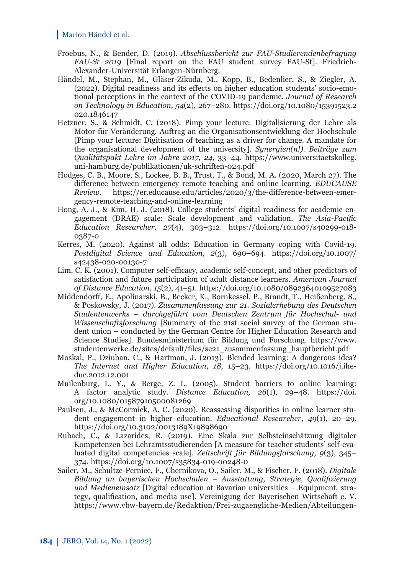- Froebus, N., & Bender, D. (2019). *Abschlussbericht zur FAU-Studierendenbefragung FAU-St 2019* [Final report on the FAU student survey FAU-St]. Friedrich-Alexander-Universität Erlangen-Nürnberg.
- Händel, M., Stephan, M., Gläser-Zikuda, M., Kopp, B., Bedenlier, S., & Ziegler, A. (2022). Digital readiness and its effects on higher education students' socio-emotional perceptions in the context of the COVID-19 pandemic. *Journal of Research on Technology in Education, 54*[\(2\), 267–280. https://doi.org/10.1080/15391523.2](https://doi.org/10.1080/15391523.2020.1846147) 020.1846147
- Hetzner, S., & Schmidt, C. (2018). Pimp your lecture: Digitalisierung der Lehre als Motor für Veränderung. Auftrag an die Organisationsentwicklung der Hochschule [Pimp your lecture: Digitisation of teaching as a driver for change. A mandate for the organisational development of the university]. *Synergien(n!). Beiträge zum Qualitätspakt Lehre im Jahre 2017*, *24*, 33–44. https://www.universitaetskolleg. [uni-hamburg.de/publikationen/uk-schriften-024.pdf](https://www.universitaetskolleg.uni-hamburg.de/publikationen/uk-schriften-024.pdf)
- Hodges, C. B., Moore, S., Lockee, B. B., Trust, T., & Bond, M. A. (2020, March 27). The difference between emergency remote teaching and online learning. *EDUCAUSE Review*. https://er.educause.edu/articles/2020/3/the-difference-between-emergency-remote-teaching-and-online-learning
- Hong, A. J., & Kim, H. J. (2018). College students' digital readiness for academic engagement (DRAE) scale: Scale development and validation. *The Asia-Pacific Education Researcher, 27*(4), 303–312. https://doi.org/10.1007/s40299-018- 0387-0
- Kerres, M. (2020). Against all odds: Education in Germany coping with Covid-19. *[Postdigital Science and Education, 2](https://doi.org/10.1007/s42438-020-00130-7)*(3), 690–694*.* https://doi.org/10.1007/ s42438-020-00130-7
- Lim, C. K. (2001). Computer self-efficacy, academic self-concept, and other predictors of satisfaction and future participation of adult distance learners. *American Journal of Distance Education, 15*(2), 41–51. https://doi.org/10.1080/08923640109527083
- Middendorff, E., Apolinarski, B., Becker, K., Bornkessel, P., Brandt, T., Heißenberg, S., & Poskowsky, J. (2017). *Zusammenfassung zur 21. Sozialerhebung des Deutschen Studentenwerks – durchgeführt vom Deutschen Zentrum für Hochschul- und Wissenschaftsforschung* [Summary of the 21st social survey of the German student union – conducted by the German Centre for Higher Education Research and [Science Studies\]. Bundesministerium für Bildung und Forschung. https://www.](https://www.studentenwerke.de/sites/default/files/se21_zusammenfassung_hauptbericht.pdf) studentenwerke.de/sites/default/files/se21\_zusammenfassung\_hauptbericht.pdf
- Moskal, P., Dziuban, C., & Hartman, J. (2013). Blended learning: A dangerous idea? *The Internet and Higher Education*, *18*, 15–23. https://doi.org/10.1016/j.iheduc.2012.12.001
- Muilenburg, L. Y., & Berge, Z. L. (2005). Student barriers to online learning: A factor analytic study. *Distance Education, 26*(1), 29–48. https://doi. [org/10.1080/01587910500081269](https://doi.org/10.1080/01587910500081269)
- Paulsen, J., & McCormick, A. C. (2020). Reassessing disparities in online learner student engagement in higher education. *Educational Researcher, 49*(1), 20–29. https://doi.org/10.3102/0013189X19898690
- Rubach, C., & Lazarides, R. (2019). Eine Skala zur Selbsteinschätzung digitaler Kompetenzen bei Lehramtsstudierenden [A measure for teacher students' self-evaluated digital competencies scale]. *Zeitschrift für Bildungsforschung, 9*(3), 345– 374. https://doi.org/10.1007/s35834-019-00248-0
- Sailer, M., Schultze-Pernice, F., Chernikova, O., Sailer, M., & Fischer, F. (2018). *Digitale Bildung an bayerischen Hochschulen – Ausstattung, Strategie, Qualifizierung und Medieneinsatz* [Digital education at Bavarian universities – Equipment, strategy, qualification, and media use]. Vereinigung der Bayerischen Wirtschaft e. V. [https://www.vbw-bayern.de/Redaktion/Frei-zugaengliche-Medien/Abteilungen-](https://www.vbw-bayern.de/Redaktion/Frei-zugaengliche-Medien/Abteilungen-GS/Bildung/Archiv/2018/Downloads/FINAL_Digitale_Bildung_an_bayerischen_Hochschulen-2018.pdf)